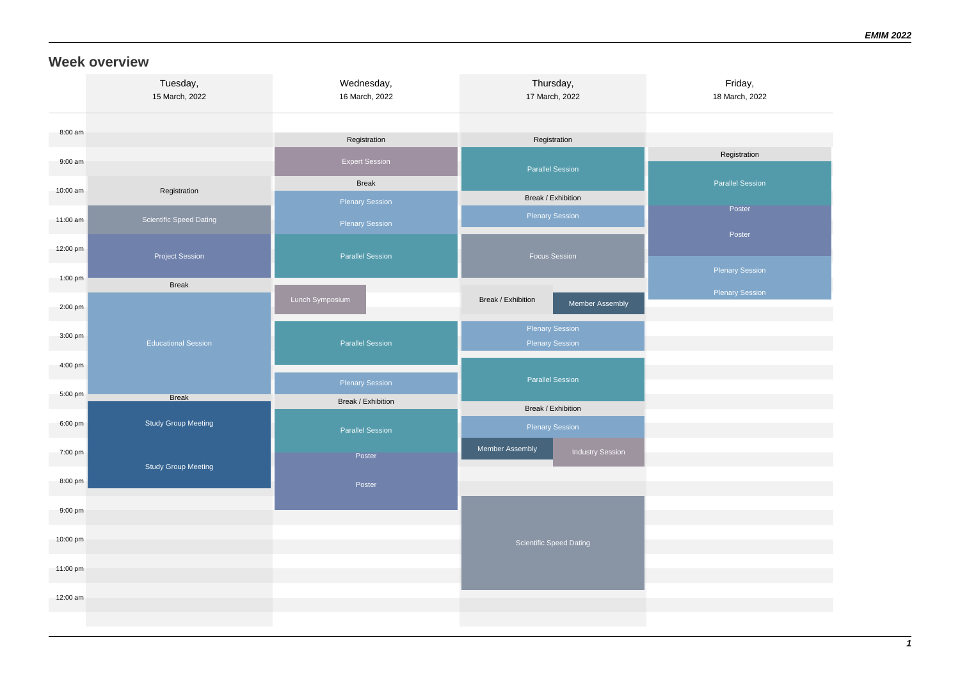#### **Week overview**

|           | Tuesday,<br>15 March, 2022     | Wednesday,<br>16 March, 2022 | Thursday,<br>17 March, 2022                      | Friday,<br>18 March, 2022 |
|-----------|--------------------------------|------------------------------|--------------------------------------------------|---------------------------|
| 8:00 am   |                                | Registration                 | Registration                                     |                           |
| $9:00$ am |                                | <b>Expert Session</b>        | <b>Parallel Session</b>                          | Registration              |
| 10:00 am  | Registration                   | <b>Break</b>                 |                                                  | <b>Parallel Session</b>   |
|           |                                | <b>Plenary Session</b>       | Break / Exhibition                               | Poster                    |
| 11:00 am  | <b>Scientific Speed Dating</b> | <b>Plenary Session</b>       | <b>Plenary Session</b>                           |                           |
| 12:00 pm  | <b>Project Session</b>         | <b>Parallel Session</b>      | <b>Focus Session</b>                             | Poster                    |
| 1:00 pm   | <b>Break</b>                   |                              |                                                  | Plenary Session           |
| 2:00 pm   |                                | Lunch Symposium              | Break / Exhibition<br>Member Assembly            | <b>Plenary Session</b>    |
| $3:00$ pm | <b>Educational Session</b>     | <b>Parallel Session</b>      | <b>Plenary Session</b><br><b>Plenary Session</b> |                           |
| 4:00 pm   |                                | <b>Plenary Session</b>       | <b>Parallel Session</b>                          |                           |
| 5:00 pm   | <b>Break</b>                   | Break / Exhibition           |                                                  |                           |
| 6:00 pm   | <b>Study Group Meeting</b>     | <b>Parallel Session</b>      | Break / Exhibition<br><b>Plenary Session</b>     |                           |
| 7:00 pm   | <b>Study Group Meeting</b>     | Poster                       | Member Assembly<br><b>Industry Session</b>       |                           |
| 8:00 pm   |                                | Poster                       |                                                  |                           |
| 9:00 pm   |                                |                              |                                                  |                           |
| 10:00 pm  |                                |                              | Scientific Speed Dating                          |                           |
| 11:00 pm  |                                |                              |                                                  |                           |
| 12:00 am  |                                |                              |                                                  |                           |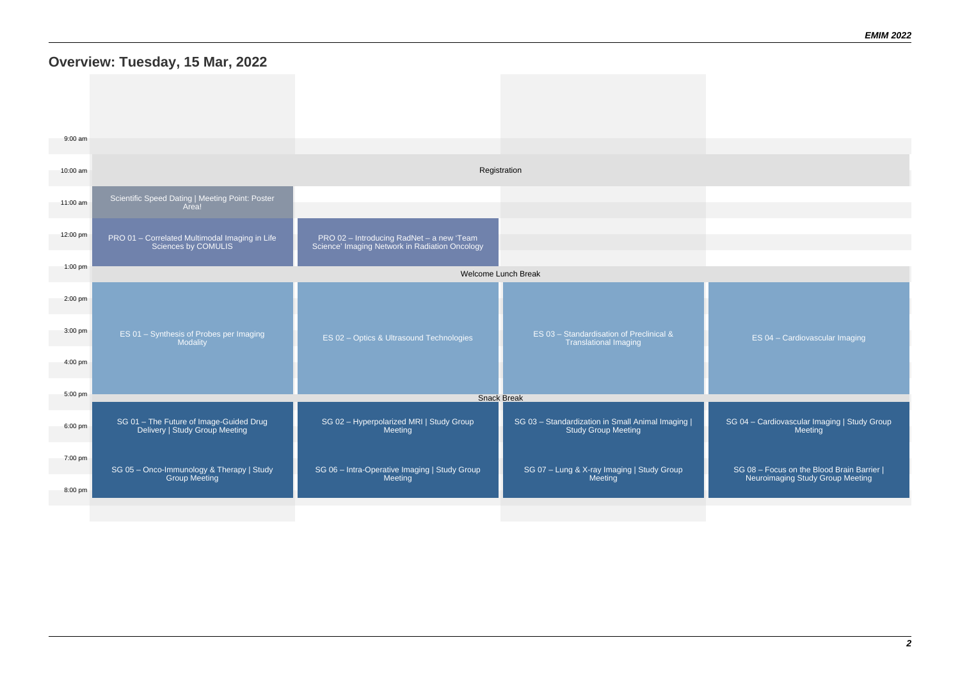## **Overview: Tuesday, 15 Mar, 2022**

| 9:00 am           |                                                                           |                                                                                             |                                                                                 |                                                                                |  |  |
|-------------------|---------------------------------------------------------------------------|---------------------------------------------------------------------------------------------|---------------------------------------------------------------------------------|--------------------------------------------------------------------------------|--|--|
| 10:00 am          | Registration                                                              |                                                                                             |                                                                                 |                                                                                |  |  |
| 11:00 am          | Scientific Speed Dating   Meeting Point: Poster<br>Area!                  |                                                                                             |                                                                                 |                                                                                |  |  |
| 12:00 pm          | PRO 01 - Correlated Multimodal Imaging in Life<br>Sciences by COMULIS     | PRO 02 - Introducing RadNet - a new 'Team<br>Science' Imaging Network in Radiation Oncology |                                                                                 |                                                                                |  |  |
| 1:00 pm           | Welcome Lunch Break                                                       |                                                                                             |                                                                                 |                                                                                |  |  |
| $2:00$ pm         |                                                                           |                                                                                             |                                                                                 |                                                                                |  |  |
| $3:00 \text{ pm}$ | ES 01 - Synthesis of Probes per Imaging<br>Modality                       | ES 02 - Optics & Ultrasound Technologies                                                    | ES 03 - Standardisation of Preclinical &<br><b>Translational Imaging</b>        | ES 04 - Cardiovascular Imaging                                                 |  |  |
| $4:00 \text{ pm}$ |                                                                           |                                                                                             |                                                                                 |                                                                                |  |  |
| 5:00 pm           | <b>Snack Break</b>                                                        |                                                                                             |                                                                                 |                                                                                |  |  |
| 6:00 pm           | SG 01 - The Future of Image-Guided Drug<br>Delivery   Study Group Meeting | SG 02 - Hyperpolarized MRI   Study Group<br>Meeting                                         | SG 03 - Standardization in Small Animal Imaging  <br><b>Study Group Meeting</b> | SG 04 - Cardiovascular Imaging   Study Group<br>Meeting                        |  |  |
| 7:00 pm           | SG 05 - Onco-Immunology & Therapy   Study<br><b>Group Meeting</b>         | SG 06 - Intra-Operative Imaging   Study Group<br>Meeting                                    | SG 07 - Lung & X-ray Imaging   Study Group<br>Meeting                           | SG 08 - Focus on the Blood Brain Barrier  <br>Neuroimaging Study Group Meeting |  |  |
| 8:00 pm           |                                                                           |                                                                                             |                                                                                 |                                                                                |  |  |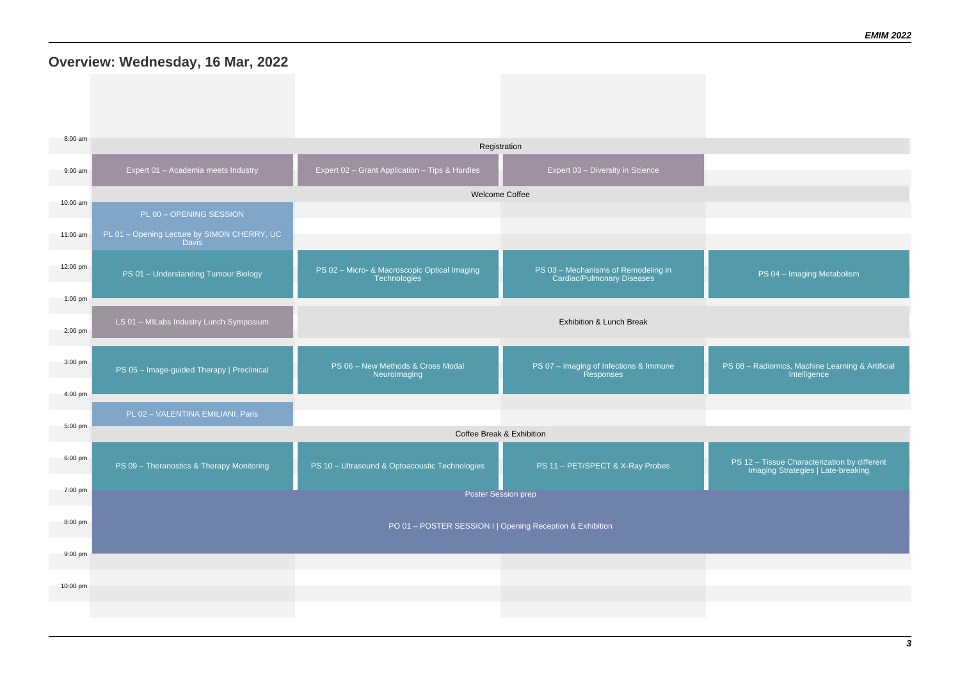#### **Overview: Wednesday, 16 Mar, 2022**

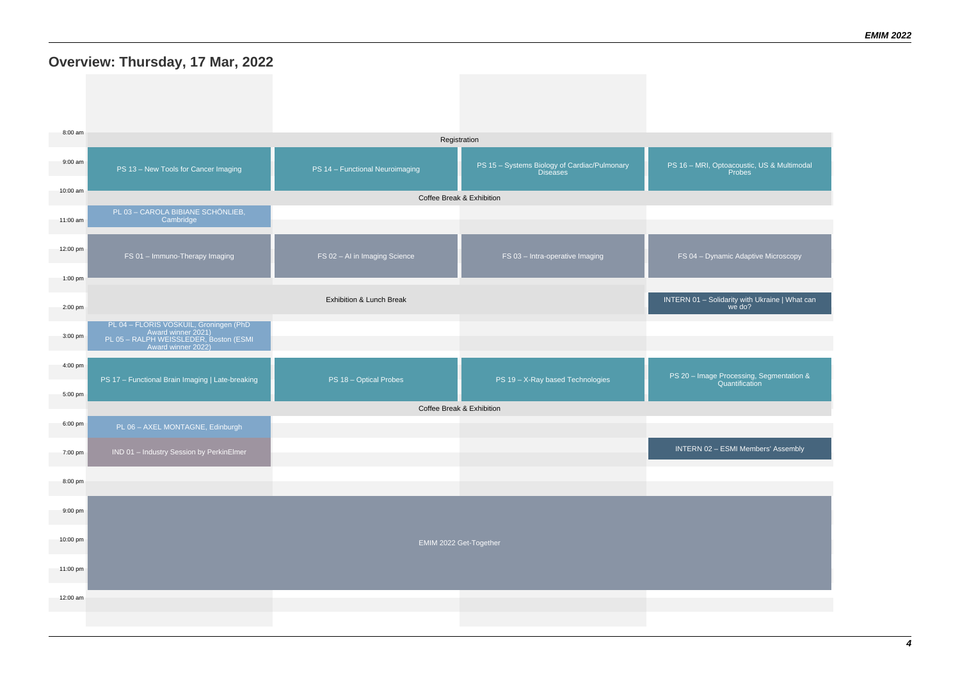# **Overview: Thursday, 17 Mar, 2022**

| 8:00 am                      | Registration                                                                                                                 |                                 |                                                                 |                                                             |  |  |
|------------------------------|------------------------------------------------------------------------------------------------------------------------------|---------------------------------|-----------------------------------------------------------------|-------------------------------------------------------------|--|--|
| $9:00$ am                    | PS 13 - New Tools for Cancer Imaging                                                                                         | PS 14 - Functional Neuroimaging | PS 15 - Systems Biology of Cardiac/Pulmonary<br><b>Diseases</b> | PS 16 - MRI, Optoacoustic, US & Multimodal<br><b>Probes</b> |  |  |
| 10:00 am                     |                                                                                                                              |                                 | Coffee Break & Exhibition                                       |                                                             |  |  |
| 11:00 am                     | PL 03 - CAROLA BIBIANE SCHÖNLIEB,<br>Cambridge                                                                               |                                 |                                                                 |                                                             |  |  |
| 12:00 pm                     | FS 01 - Immuno-Therapy Imaging                                                                                               | FS 02 - AI in Imaging Science   | FS 03 - Intra-operative Imaging                                 | FS 04 - Dynamic Adaptive Microscopy                         |  |  |
| $1:00$ pm                    |                                                                                                                              |                                 |                                                                 |                                                             |  |  |
| 2:00 pm                      |                                                                                                                              | Exhibition & Lunch Break        |                                                                 | INTERN 01 - Solidarity with Ukraine   What can<br>we do?    |  |  |
| 3:00 pm                      | PL 04 - FLORIS VOSKUIL, Groningen (PhD<br>Award winner 2021)<br>PL 05 - RALPH WEISSLEDER, Boston (ESMI<br>Award winner 2022) |                                 |                                                                 |                                                             |  |  |
| $4:00 \text{ pm}$<br>5:00 pm | PS 17 - Functional Brain Imaging   Late-breaking                                                                             | PS 18 - Optical Probes          | PS 19 - X-Ray based Technologies                                | PS 20 - Image Processing, Segmentation &<br>Quantification  |  |  |
|                              |                                                                                                                              |                                 | Coffee Break & Exhibition                                       |                                                             |  |  |
| 6:00 pm                      | PL 06 - AXEL MONTAGNE, Edinburgh                                                                                             |                                 |                                                                 |                                                             |  |  |
| 7:00 pm                      | IND 01 - Industry Session by PerkinElmer                                                                                     |                                 |                                                                 | INTERN 02 - ESMI Members' Assembly                          |  |  |
| 8:00 pm                      |                                                                                                                              |                                 |                                                                 |                                                             |  |  |
| 9:00 pm                      |                                                                                                                              |                                 |                                                                 |                                                             |  |  |
| 10:00 pm                     | EMIM 2022 Get-Together                                                                                                       |                                 |                                                                 |                                                             |  |  |
| 11:00 pm                     |                                                                                                                              |                                 |                                                                 |                                                             |  |  |
| 12:00 am                     |                                                                                                                              |                                 |                                                                 |                                                             |  |  |
|                              |                                                                                                                              |                                 |                                                                 |                                                             |  |  |